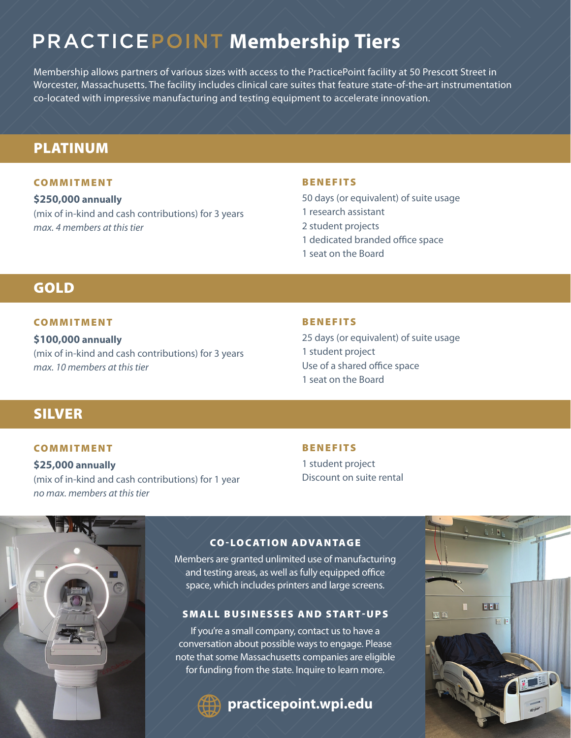# **PRACTICEPOINT Membership Tiers**

Membership allows partners of various sizes with access to the PracticePoint facility at 50 Prescott Street in Worcester, Massachusetts. The facility includes clinical care suites that feature state-of-the-art instrumentation co-located with impressive manufacturing and testing equipment to accelerate innovation.

### PLATINUM

#### COMMITMENT

**\$250,000 annually** (mix of in-kind and cash contributions) for 3 years *max. 4 members at this tier*

#### BENEFITS

50 days (or equivalent) of suite usage 1 research assistant 2 student projects 1 dedicated branded office space 1 seat on the Board

### GOLD

#### COMMITMENT

**\$100,000 annually** (mix of in-kind and cash contributions) for 3 years *max. 10 members at this tier*

#### BENEFITS

25 days (or equivalent) of suite usage 1 student project Use of a shared office space 1 seat on the Board

## SILVER

#### COMMITMENT

**\$25,000 annually** (mix of in-kind and cash contributions) for 1 year *no max. members at this tier*

#### BENEFITS

1 student project Discount on suite rental



#### CO-LOCATION ADVANTAGE

Members are granted unlimited use of manufacturing and testing areas, as well as fully equipped office space, which includes printers and large screens.

#### SMALL BUSINESSES AND START-UPS

If you're a small company, contact us to have a conversation about possible ways to engage. Please note that some Massachusetts companies are eligible for funding from the state. Inquire to learn more.

**practicepoint.wpi.edu**